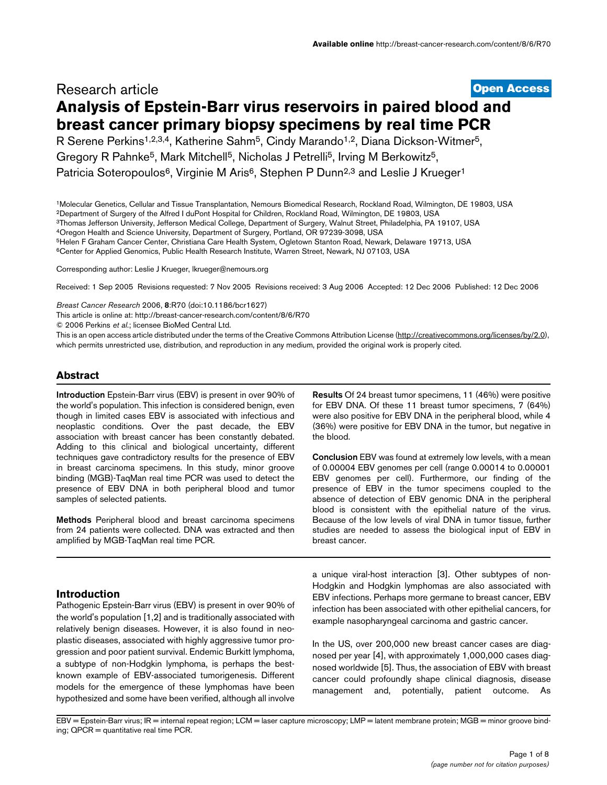## **[Open Access](http://www.biomedcentral.com/info/about/charter/)** Research article **Analysis of Epstein-Barr virus reservoirs in paired blood and breast cancer primary biopsy specimens by real time PCR**

R Serene Perkins<sup>1,2,3,4</sup>, Katherine Sahm<sup>5</sup>, Cindy Marando<sup>1,2</sup>, Diana Dickson-Witmer<sup>5</sup>, Gregory R Pahnke<sup>5</sup>, Mark Mitchell<sup>5</sup>, Nicholas J Petrelli<sup>5</sup>, Irving M Berkowitz<sup>5</sup>, Patricia Soteropoulos<sup>6</sup>, Virginie M Aris<sup>6</sup>, Stephen P Dunn<sup>2,3</sup> and Leslie J Krueger<sup>1</sup>

1Molecular Genetics, Cellular and Tissue Transplantation, Nemours Biomedical Research, Rockland Road, Wilmington, DE 19803, USA

2Department of Surgery of the Alfred I duPont Hospital for Children, Rockland Road, Wilmington, DE 19803, USA

3Thomas Jefferson University, Jefferson Medical College, Department of Surgery, Walnut Street, Philadelphia, PA 19107, USA

4Oregon Health and Science University, Department of Surgery, Portland, OR 97239-3098, USA

5Helen F Graham Cancer Center, Christiana Care Health System, Ogletown Stanton Road, Newark, Delaware 19713, USA

6Center for Applied Genomics, Public Health Research Institute, Warren Street, Newark, NJ 07103, USA

Corresponding author: Leslie J Krueger, lkrueger@nemours.org

Received: 1 Sep 2005 Revisions requested: 7 Nov 2005 Revisions received: 3 Aug 2006 Accepted: 12 Dec 2006 Published: 12 Dec 2006

*Breast Cancer Research* 2006, **8**:R70 (doi:10.1186/bcr1627)

[This article is online at: http://breast-cancer-research.com/content/8/6/R70](http://breast-cancer-research.com/content/8/6/R70)

© 2006 Perkins *et al*.; licensee BioMed Central Ltd.

This is an open access article distributed under the terms of the Creative Commons Attribution License [\(http://creativecommons.org/licenses/by/2.0\)](http://creativecommons.org/licenses/by/2.0), which permits unrestricted use, distribution, and reproduction in any medium, provided the original work is properly cited.

## **Abstract**

**Introduction** Epstein-Barr virus (EBV) is present in over 90% of the world's population. This infection is considered benign, even though in limited cases EBV is associated with infectious and neoplastic conditions. Over the past decade, the EBV association with breast cancer has been constantly debated. Adding to this clinical and biological uncertainty, different techniques gave contradictory results for the presence of EBV in breast carcinoma specimens. In this study, minor groove binding (MGB)-TaqMan real time PCR was used to detect the presence of EBV DNA in both peripheral blood and tumor samples of selected patients.

**Methods** Peripheral blood and breast carcinoma specimens from 24 patients were collected. DNA was extracted and then amplified by MGB-TaqMan real time PCR.

## **Introduction**

Pathogenic Epstein-Barr virus (EBV) is present in over 90% of the world's population [1,2] and is traditionally associated with relatively benign diseases. However, it is also found in neoplastic diseases, associated with highly aggressive tumor progression and poor patient survival. Endemic Burkitt lymphoma, a subtype of non-Hodgkin lymphoma, is perhaps the bestknown example of EBV-associated tumorigenesis. Different models for the emergence of these lymphomas have been hypothesized and some have been verified, although all involve

**Results** Of 24 breast tumor specimens, 11 (46%) were positive for EBV DNA. Of these 11 breast tumor specimens, 7 (64%) were also positive for EBV DNA in the peripheral blood, while 4 (36%) were positive for EBV DNA in the tumor, but negative in the blood.

**Conclusion** EBV was found at extremely low levels, with a mean of 0.00004 EBV genomes per cell (range 0.00014 to 0.00001 EBV genomes per cell). Furthermore, our finding of the presence of EBV in the tumor specimens coupled to the absence of detection of EBV genomic DNA in the peripheral blood is consistent with the epithelial nature of the virus. Because of the low levels of viral DNA in tumor tissue, further studies are needed to assess the biological input of EBV in breast cancer.

a unique viral-host interaction [3]. Other subtypes of non-Hodgkin and Hodgkin lymphomas are also associated with EBV infections. Perhaps more germane to breast cancer, EBV infection has been associated with other epithelial cancers, for example nasopharyngeal carcinoma and gastric cancer.

In the US, over 200,000 new breast cancer cases are diagnosed per year [4], with approximately 1,000,000 cases diagnosed worldwide [5]. Thus, the association of EBV with breast cancer could profoundly shape clinical diagnosis, disease management and, potentially, patient outcome. As

EBV = Epstein-Barr virus; IR = internal repeat region; LCM = laser capture microscopy; LMP = latent membrane protein; MGB = minor groove binding; QPCR = quantitative real time PCR.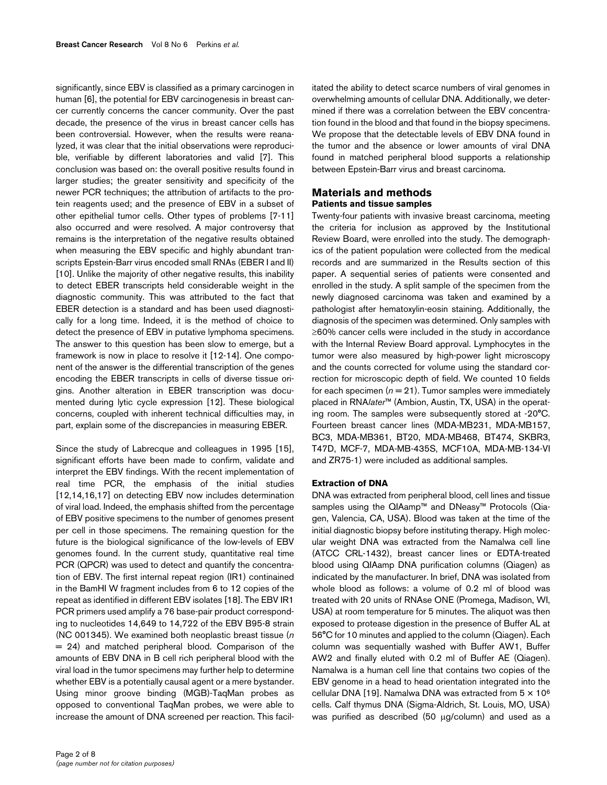significantly, since EBV is classified as a primary carcinogen in human [6], the potential for EBV carcinogenesis in breast cancer currently concerns the cancer community. Over the past decade, the presence of the virus in breast cancer cells has been controversial. However, when the results were reanalyzed, it was clear that the initial observations were reproducible, verifiable by different laboratories and valid [7]. This conclusion was based on: the overall positive results found in larger studies; the greater sensitivity and specificity of the newer PCR techniques; the attribution of artifacts to the protein reagents used; and the presence of EBV in a subset of other epithelial tumor cells. Other types of problems [7-11] also occurred and were resolved. A major controversy that remains is the interpretation of the negative results obtained when measuring the EBV specific and highly abundant transcripts Epstein-Barr virus encoded small RNAs (EBER I and II) [10]. Unlike the majority of other negative results, this inability to detect EBER transcripts held considerable weight in the diagnostic community. This was attributed to the fact that EBER detection is a standard and has been used diagnostically for a long time. Indeed, it is the method of choice to detect the presence of EBV in putative lymphoma specimens. The answer to this question has been slow to emerge, but a framework is now in place to resolve it [12-14]. One component of the answer is the differential transcription of the genes encoding the EBER transcripts in cells of diverse tissue origins. Another alteration in EBER transcription was documented during lytic cycle expression [12]. These biological concerns, coupled with inherent technical difficulties may, in part, explain some of the discrepancies in measuring EBER.

Since the study of Labrecque and colleagues in 1995 [15], significant efforts have been made to confirm, validate and interpret the EBV findings. With the recent implementation of real time PCR, the emphasis of the initial studies [12,14,16,17] on detecting EBV now includes determination of viral load. Indeed, the emphasis shifted from the percentage of EBV positive specimens to the number of genomes present per cell in those specimens. The remaining question for the future is the biological significance of the low-levels of EBV genomes found. In the current study, quantitative real time PCR (QPCR) was used to detect and quantify the concentration of EBV. The first internal repeat region (IR1) continained in the BamHI W fragment includes from 6 to 12 copies of the repeat as identified in different EBV isolates [18]. The EBV IR1 PCR primers used amplify a 76 base-pair product corresponding to nucleotides 14,649 to 14,722 of the EBV B95-8 strain (NC 001345). We examined both neoplastic breast tissue (*n* = 24) and matched peripheral blood. Comparison of the amounts of EBV DNA in B cell rich peripheral blood with the viral load in the tumor specimens may further help to determine whether EBV is a potentially causal agent or a mere bystander. Using minor groove binding (MGB)-TaqMan probes as opposed to conventional TaqMan probes, we were able to increase the amount of DNA screened per reaction. This facilitated the ability to detect scarce numbers of viral genomes in overwhelming amounts of cellular DNA. Additionally, we determined if there was a correlation between the EBV concentration found in the blood and that found in the biopsy specimens. We propose that the detectable levels of EBV DNA found in the tumor and the absence or lower amounts of viral DNA found in matched peripheral blood supports a relationship between Epstein-Barr virus and breast carcinoma.

## **Materials and methods Patients and tissue samples**

Twenty-four patients with invasive breast carcinoma, meeting the criteria for inclusion as approved by the Institutional Review Board, were enrolled into the study. The demographics of the patient population were collected from the medical records and are summarized in the Results section of this paper. A sequential series of patients were consented and enrolled in the study. A split sample of the specimen from the newly diagnosed carcinoma was taken and examined by a pathologist after hematoxylin-eosin staining. Additionally, the diagnosis of the specimen was determined. Only samples with ≥60% cancer cells were included in the study in accordance with the Internal Review Board approval. Lymphocytes in the tumor were also measured by high-power light microscopy and the counts corrected for volume using the standard correction for microscopic depth of field. We counted 10 fields for each specimen  $(n = 21)$ . Tumor samples were immediately placed in RNA*later*™ (Ambion, Austin, TX, USA) in the operating room. The samples were subsequently stored at -20°C. Fourteen breast cancer lines (MDA-MB231, MDA-MB157, BC3, MDA-MB361, BT20, MDA-MB468, BT474, SKBR3, T47D, MCF-7, MDA-MB-435S, MCF10A, MDA-MB-134-VI and ZR75-1) were included as additional samples.

#### **Extraction of DNA**

DNA was extracted from peripheral blood, cell lines and tissue samples using the QIAamp™ and DNeasy™ Protocols (Qiagen, Valencia, CA, USA). Blood was taken at the time of the initial diagnostic biopsy before instituting therapy. High molecular weight DNA was extracted from the Namalwa cell line (ATCC CRL-1432), breast cancer lines or EDTA-treated blood using QIAamp DNA purification columns (Qiagen) as indicated by the manufacturer. In brief, DNA was isolated from whole blood as follows: a volume of 0.2 ml of blood was treated with 20 units of RNAse ONE (Promega, Madison, WI, USA) at room temperature for 5 minutes. The aliquot was then exposed to protease digestion in the presence of Buffer AL at 56°C for 10 minutes and applied to the column (Qiagen). Each column was sequentially washed with Buffer AW1, Buffer AW2 and finally eluted with 0.2 ml of Buffer AE (Qiagen). Namalwa is a human cell line that contains two copies of the EBV genome in a head to head orientation integrated into the cellular DNA [19]. Namalwa DNA was extracted from  $5 \times 10^6$ cells. Calf thymus DNA (Sigma-Aldrich, St. Louis, MO, USA) was purified as described (50 μg/column) and used as a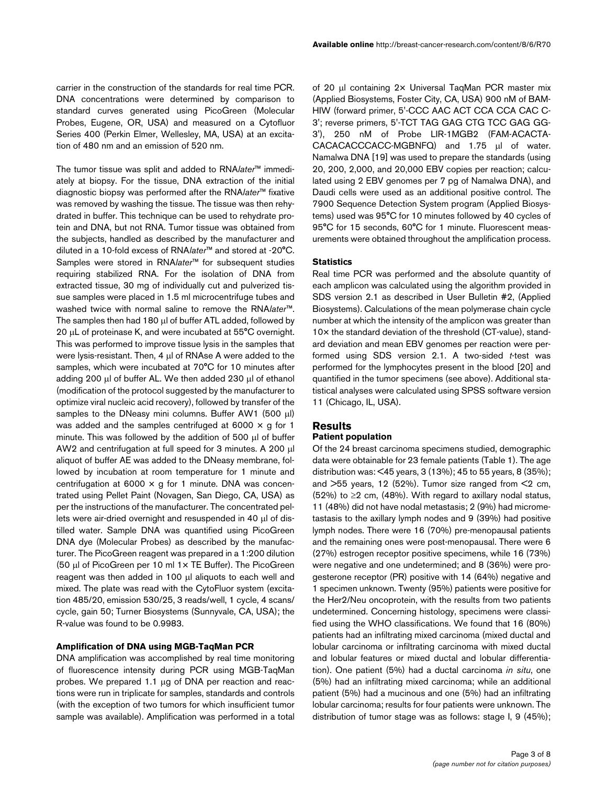carrier in the construction of the standards for real time PCR. DNA concentrations were determined by comparison to standard curves generated using PicoGreen (Molecular Probes, Eugene, OR, USA) and measured on a Cytofluor Series 400 (Perkin Elmer, Wellesley, MA, USA) at an excitation of 480 nm and an emission of 520 nm.

The tumor tissue was split and added to RNA*later*™ immediately at biopsy. For the tissue, DNA extraction of the initial diagnostic biopsy was performed after the RNA*later*™ fixative was removed by washing the tissue. The tissue was then rehydrated in buffer. This technique can be used to rehydrate protein and DNA, but not RNA. Tumor tissue was obtained from the subjects, handled as described by the manufacturer and diluted in a 10-fold excess of RNA*later*™ and stored at -20°C. Samples were stored in RNA*later*™ for subsequent studies requiring stabilized RNA. For the isolation of DNA from extracted tissue, 30 mg of individually cut and pulverized tissue samples were placed in 1.5 ml microcentrifuge tubes and washed twice with normal saline to remove the RNA*later*™. The samples then had 180 μl of buffer ATL added, followed by 20 μL of proteinase K, and were incubated at 55°C overnight. This was performed to improve tissue lysis in the samples that were lysis-resistant. Then, 4 μl of RNAse A were added to the samples, which were incubated at 70°C for 10 minutes after adding 200 μl of buffer AL. We then added 230 μl of ethanol (modification of the protocol suggested by the manufacturer to optimize viral nucleic acid recovery), followed by transfer of the samples to the DNeasy mini columns. Buffer AW1 (500 μl) was added and the samples centrifuged at 6000  $\times$  g for 1 minute. This was followed by the addition of 500 μl of buffer AW2 and centrifugation at full speed for 3 minutes. A 200 μl aliquot of buffer AE was added to the DNeasy membrane, followed by incubation at room temperature for 1 minute and centrifugation at 6000  $\times$  g for 1 minute. DNA was concentrated using Pellet Paint (Novagen, San Diego, CA, USA) as per the instructions of the manufacturer. The concentrated pellets were air-dried overnight and resuspended in 40 μl of distilled water. Sample DNA was quantified using PicoGreen DNA dye (Molecular Probes) as described by the manufacturer. The PicoGreen reagent was prepared in a 1:200 dilution (50 μl of PicoGreen per 10 ml 1× TE Buffer). The PicoGreen reagent was then added in 100 μl aliquots to each well and mixed. The plate was read with the CytoFluor system (excitation 485/20, emission 530/25, 3 reads/well, 1 cycle, 4 scans/ cycle, gain 50; Turner Biosystems (Sunnyvale, CA, USA); the R-value was found to be 0.9983.

## **Amplification of DNA using MGB-TaqMan PCR**

DNA amplification was accomplished by real time monitoring of fluorescence intensity during PCR using MGB-TaqMan probes. We prepared 1.1 μg of DNA per reaction and reactions were run in triplicate for samples, standards and controls (with the exception of two tumors for which insufficient tumor sample was available). Amplification was performed in a total of 20 μl containing 2× Universal TaqMan PCR master mix (Applied Biosystems, Foster City, CA, USA) 900 nM of BAM-HIW (forward primer, 5'-CCC AAC ACT CCA CCA CAC C-3'; reverse primers, 5'-TCT TAG GAG CTG TCC GAG GG-3'), 250 nM of Probe LIR-1MGB2 (FAM-ACACTA-CACACACCCACC-MGBNFQ) and 1.75 μl of water. Namalwa DNA [19] was used to prepare the standards (using 20, 200, 2,000, and 20,000 EBV copies per reaction; calculated using 2 EBV genomes per 7 pg of Namalwa DNA), and Daudi cells were used as an additional positive control. The 7900 Sequence Detection System program (Applied Biosystems) used was 95°C for 10 minutes followed by 40 cycles of 95°C for 15 seconds, 60°C for 1 minute. Fluorescent measurements were obtained throughout the amplification process.

**Available online** http://breast-cancer-research.com/content/8/6/R70

## **Statistics**

Real time PCR was performed and the absolute quantity of each amplicon was calculated using the algorithm provided in SDS version 2.1 as described in User Bulletin #2, (Applied Biosystems). Calculations of the mean polymerase chain cycle number at which the intensity of the amplicon was greater than 10× the standard deviation of the threshold (CT-value), standard deviation and mean EBV genomes per reaction were performed using SDS version 2.1. A two-sided *t*-test was performed for the lymphocytes present in the blood [20] and quantified in the tumor specimens (see above). Additional statistical analyses were calculated using SPSS software version 11 (Chicago, IL, USA).

# **Results**

## **Patient population**

Of the 24 breast carcinoma specimens studied, demographic data were obtainable for 23 female patients (Table 1). The age distribution was: <45 years, 3 (13%); 45 to 55 years, 8 (35%); and  $>55$  years, 12 (52%). Tumor size ranged from  $\leq$  cm, (52%) to ≥2 cm, (48%). With regard to axillary nodal status, 11 (48%) did not have nodal metastasis; 2 (9%) had micrometastasis to the axillary lymph nodes and 9 (39%) had positive lymph nodes. There were 16 (70%) pre-menopausal patients and the remaining ones were post-menopausal. There were 6 (27%) estrogen receptor positive specimens, while 16 (73%) were negative and one undetermined; and 8 (36%) were progesterone receptor (PR) positive with 14 (64%) negative and 1 specimen unknown. Twenty (95%) patients were positive for the Her2/Neu oncoprotein, with the results from two patients undetermined. Concerning histology, specimens were classified using the WHO classifications. We found that 16 (80%) patients had an infiltrating mixed carcinoma (mixed ductal and lobular carcinoma or infiltrating carcinoma with mixed ductal and lobular features or mixed ductal and lobular differentiation). One patient (5%) had a ductal carcinoma *in situ*, one (5%) had an infiltrating mixed carcinoma; while an additional patient (5%) had a mucinous and one (5%) had an infiltrating lobular carcinoma; results for four patients were unknown. The distribution of tumor stage was as follows: stage I, 9 (45%);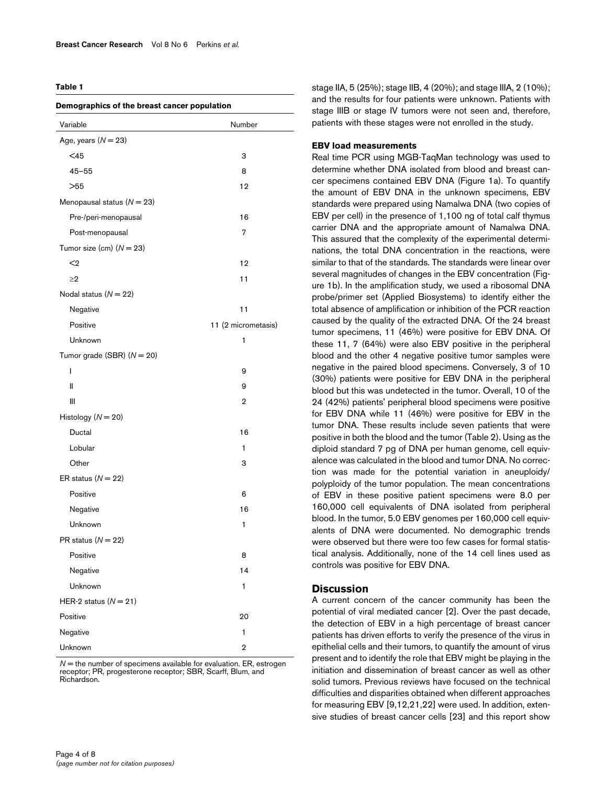**Table 1**

| Demographics of the breast cancer population |                     |  |  |
|----------------------------------------------|---------------------|--|--|
| Variable                                     | Number              |  |  |
| Age, years $(N = 23)$                        |                     |  |  |
| $45$                                         | 3                   |  |  |
| $45 - 55$                                    | 8                   |  |  |
| >55                                          | 12                  |  |  |
| Menopausal status ( $N = 23$ )               |                     |  |  |
| Pre-/peri-menopausal                         | 16                  |  |  |
| Post-menopausal                              | 7                   |  |  |
| Tumor size (cm) $(N = 23)$                   |                     |  |  |
| $2$                                          | 12                  |  |  |
| $\geq$ 2                                     | 11                  |  |  |
| Nodal status $(N = 22)$                      |                     |  |  |
| Negative                                     | 11                  |  |  |
| Positive                                     | 11 (2 micrometasis) |  |  |
| Unknown                                      | 1                   |  |  |
| Tumor grade (SBR) $(N = 20)$                 |                     |  |  |
| I                                            | 9                   |  |  |
| Ш                                            | 9                   |  |  |
| III                                          | $\mathbf{2}$        |  |  |
| Histology ( $N = 20$ )                       |                     |  |  |
| Ductal                                       | 16                  |  |  |
| Lobular                                      | 1                   |  |  |
| Other                                        | 3                   |  |  |
| ER status $(N = 22)$                         |                     |  |  |
| Positive                                     | 6                   |  |  |
| Negative                                     | 16                  |  |  |
| Unknown                                      | 1                   |  |  |
| PR status $(N = 22)$                         |                     |  |  |
| Positive                                     | 8                   |  |  |
| Negative                                     | 14                  |  |  |
| Unknown                                      | 1                   |  |  |
| HER-2 status $(N = 21)$                      |                     |  |  |
| Positive                                     | 20                  |  |  |
| Negative                                     | 1                   |  |  |
| Unknown                                      | 2                   |  |  |

 $N =$  the number of specimens available for evaluation. ER, estrogen receptor; PR, progesterone receptor; SBR, Scarff, Blum, and Richardson.

stage IIA, 5 (25%); stage IIB, 4 (20%); and stage IIIA, 2 (10%); and the results for four patients were unknown. Patients with stage IIIB or stage IV tumors were not seen and, therefore, patients with these stages were not enrolled in the study.

#### **EBV load measurements**

Real time PCR using MGB-TaqMan technology was used to determine whether DNA isolated from blood and breast cancer specimens contained EBV DNA (Figure [1](#page-4-0)a). To quantify the amount of EBV DNA in the unknown specimens, EBV standards were prepared using Namalwa DNA (two copies of EBV per cell) in the presence of 1,100 ng of total calf thymus carrier DNA and the appropriate amount of Namalwa DNA. This assured that the complexity of the experimental determinations, the total DNA concentration in the reactions, were similar to that of the standards. The standards were linear over several magnitudes of changes in the EBV concentration (Figure [1](#page-4-0)b). In the amplification study, we used a ribosomal DNA probe/primer set (Applied Biosystems) to identify either the total absence of amplification or inhibition of the PCR reaction caused by the quality of the extracted DNA. Of the 24 breast tumor specimens, 11 (46%) were positive for EBV DNA. Of these 11, 7 (64%) were also EBV positive in the peripheral blood and the other 4 negative positive tumor samples were negative in the paired blood specimens. Conversely, 3 of 10 (30%) patients were positive for EBV DNA in the peripheral blood but this was undetected in the tumor. Overall, 10 of the 24 (42%) patients' peripheral blood specimens were positive for EBV DNA while 11 (46%) were positive for EBV in the tumor DNA. These results include seven patients that were positive in both the blood and the tumor (Table [2](#page-5-0)). Using as the diploid standard 7 pg of DNA per human genome, cell equivalence was calculated in the blood and tumor DNA. No correction was made for the potential variation in aneuploidy/ polyploidy of the tumor population. The mean concentrations of EBV in these positive patient specimens were 8.0 per 160,000 cell equivalents of DNA isolated from peripheral blood. In the tumor, 5.0 EBV genomes per 160,000 cell equivalents of DNA were documented. No demographic trends were observed but there were too few cases for formal statistical analysis. Additionally, none of the 14 cell lines used as controls was positive for EBV DNA.

### **Discussion**

A current concern of the cancer community has been the potential of viral mediated cancer [2]. Over the past decade, the detection of EBV in a high percentage of breast cancer patients has driven efforts to verify the presence of the virus in epithelial cells and their tumors, to quantify the amount of virus present and to identify the role that EBV might be playing in the initiation and dissemination of breast cancer as well as other solid tumors. Previous reviews have focused on the technical difficulties and disparities obtained when different approaches for measuring EBV [9,12,21,22] were used. In addition, extensive studies of breast cancer cells [23] and this report show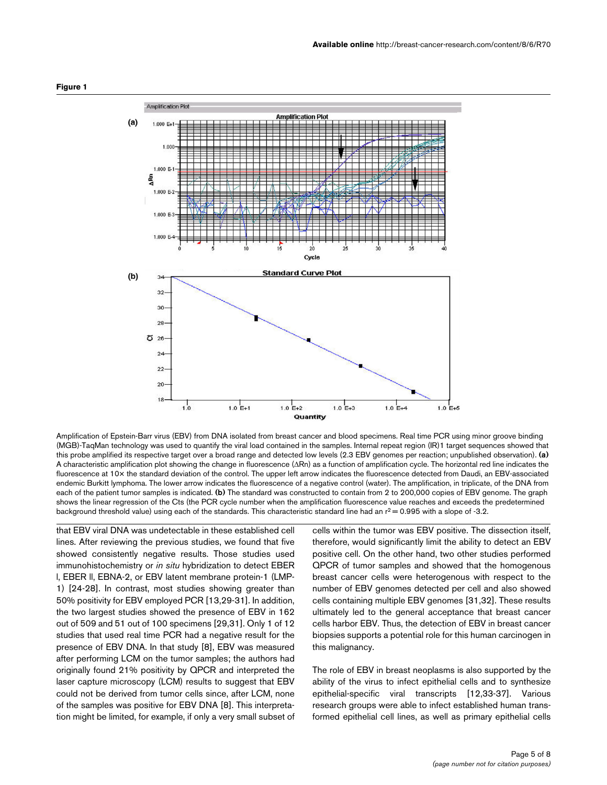<span id="page-4-0"></span>

Amplification of Epstein-Barr virus (EBV) from DNA isolated from breast cancer and blood specimens. Real time PCR using minor groove binding (MGB)-TaqMan technology was used to quantify the viral load contained in the samples. Internal repeat region (IR)1 target sequences showed that this probe amplified its respective target over a broad range and detected low levels (2.3 EBV genomes per reaction; unpublished observation). **(a)**  A characteristic amplification plot showing the change in fluorescence (ΔRn) as a function of amplification cycle. The horizontal red line indicates the fluorescence at 10× the standard deviation of the control. The upper left arrow indicates the fluorescence detected from Daudi, an EBV-associated endemic Burkitt lymphoma. The lower arrow indicates the fluorescence of a negative control (water). The amplification, in triplicate, of the DNA from each of the patient tumor samples is indicated. **(b)** The standard was constructed to contain from 2 to 200,000 copies of EBV genome. The graph shows the linear regression of the Cts (the PCR cycle number when the amplification fluorescence value reaches and exceeds the predetermined background threshold value) using each of the standards. This characteristic standard line had an  $r^2 = 0.995$  with a slope of -3.2.

that EBV viral DNA was undetectable in these established cell lines. After reviewing the previous studies, we found that five showed consistently negative results. Those studies used immunohistochemistry or *in situ* hybridization to detect EBER l, EBER ll, EBNA-2, or EBV latent membrane protein-1 (LMP-1) [24-28]. In contrast, most studies showing greater than 50% positivity for EBV employed PCR [13,29-31]. In addition, the two largest studies showed the presence of EBV in 162 out of 509 and 51 out of 100 specimens [29,31]. Only 1 of 12 studies that used real time PCR had a negative result for the presence of EBV DNA. In that study [8], EBV was measured after performing LCM on the tumor samples; the authors had originally found 21% positivity by QPCR and interpreted the laser capture microscopy (LCM) results to suggest that EBV could not be derived from tumor cells since, after LCM, none of the samples was positive for EBV DNA [8]. This interpretation might be limited, for example, if only a very small subset of

cells within the tumor was EBV positive. The dissection itself, therefore, would significantly limit the ability to detect an EBV positive cell. On the other hand, two other studies performed QPCR of tumor samples and showed that the homogenous breast cancer cells were heterogenous with respect to the number of EBV genomes detected per cell and also showed cells containing multiple EBV genomes [31,32]. These results ultimately led to the general acceptance that breast cancer cells harbor EBV. Thus, the detection of EBV in breast cancer biopsies supports a potential role for this human carcinogen in this malignancy.

The role of EBV in breast neoplasms is also supported by the ability of the virus to infect epithelial cells and to synthesize epithelial-specific viral transcripts [12,33-37]. Various research groups were able to infect established human transformed epithelial cell lines, as well as primary epithelial cells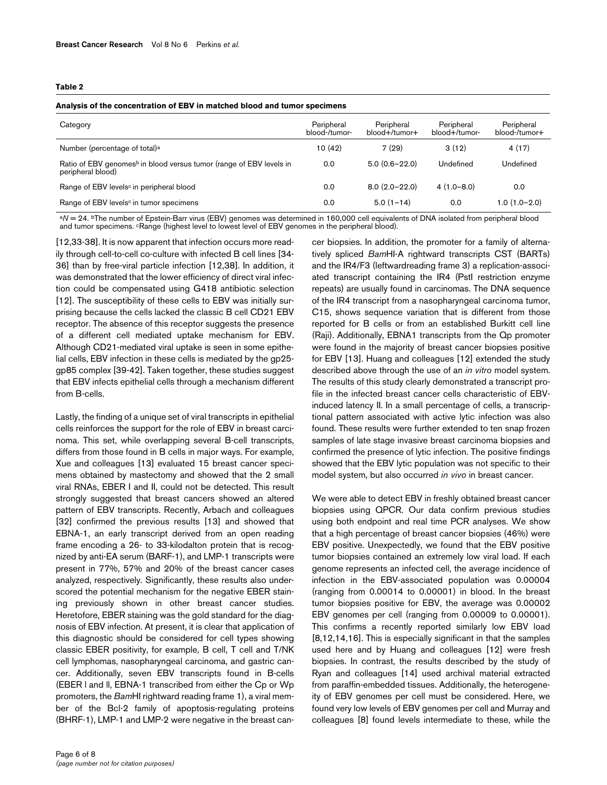#### <span id="page-5-0"></span>**Table 2**

#### **Analysis of the concentration of EBV in matched blood and tumor specimens**

| Category                                                                                             | Peripheral<br>blood-/tumor- | Peripheral<br>blood+/tumor+ | Peripheral<br>blood+/tumor- | Peripheral<br>blood-/tumor+ |
|------------------------------------------------------------------------------------------------------|-----------------------------|-----------------------------|-----------------------------|-----------------------------|
| Number (percentage of total) <sup>a</sup>                                                            | 10(42)                      | 7(29)                       | 3(12)                       | 4(17)                       |
| Ratio of EBV genomes <sup>b</sup> in blood versus tumor (range of EBV levels in<br>peripheral blood) | 0.0                         | $5.0(0.6 - 22.0)$           | Undefined                   | Undefined                   |
| Range of EBV levels <sup>c</sup> in peripheral blood                                                 | 0.0                         | $8.0(2.0-22.0)$             | $4(1.0 - 8.0)$              | 0.0                         |
| Range of EBV levels <sup>c</sup> in tumor specimens                                                  | 0.0                         | $5.0(1-14)$                 | 0.0                         | $1.0(1.0-2.0)$              |

<sup>a</sup>*N* = 24. bThe number of Epstein-Barr virus (EBV) genomes was determined in 160,000 cell equivalents of DNA isolated from peripheral blood and tumor specimens. <sup>c</sup>Range (highest level to lowest level of EBV genomes in the peripheral blood).

[12,33-38]. It is now apparent that infection occurs more readily through cell-to-cell co-culture with infected B cell lines [34- 36] than by free-viral particle infection [12,38]. In addition, it was demonstrated that the lower efficiency of direct viral infection could be compensated using G418 antibiotic selection [12]. The susceptibility of these cells to EBV was initially surprising because the cells lacked the classic B cell CD21 EBV receptor. The absence of this receptor suggests the presence of a different cell mediated uptake mechanism for EBV. Although CD21-mediated viral uptake is seen in some epithelial cells, EBV infection in these cells is mediated by the gp25 gp85 complex [39-42]. Taken together, these studies suggest that EBV infects epithelial cells through a mechanism different from B-cells.

Lastly, the finding of a unique set of viral transcripts in epithelial cells reinforces the support for the role of EBV in breast carcinoma. This set, while overlapping several B-cell transcripts, differs from those found in B cells in major ways. For example, Xue and colleagues [13] evaluated 15 breast cancer specimens obtained by mastectomy and showed that the 2 small viral RNAs, EBER I and II, could not be detected. This result strongly suggested that breast cancers showed an altered pattern of EBV transcripts. Recently, Arbach and colleagues [32] confirmed the previous results [13] and showed that EBNA-1, an early transcript derived from an open reading frame encoding a 26- to 33-kilodalton protein that is recognized by anti-EA serum (BARF-1), and LMP-1 transcripts were present in 77%, 57% and 20% of the breast cancer cases analyzed, respectively. Significantly, these results also underscored the potential mechanism for the negative EBER staining previously shown in other breast cancer studies. Heretofore, EBER staining was the gold standard for the diagnosis of EBV infection. At present, it is clear that application of this diagnostic should be considered for cell types showing classic EBER positivity, for example, B cell, T cell and T/NK cell lymphomas, nasopharyngeal carcinoma, and gastric cancer. Additionally, seven EBV transcripts found in B-cells (EBER l and ll, EBNA-1 transcribed from either the Cp or Wp promoters, the *Bam*HI rightward reading frame 1), a viral member of the Bcl-2 family of apoptosis-regulating proteins (BHRF-1), LMP-1 and LMP-2 were negative in the breast cancer biopsies. In addition, the promoter for a family of alternatively spliced *Bam*HI-A rightward transcripts CST (BARTs) and the IR4/F3 (leftwardreading frame 3) a replication-associated transcript containing the IR4 (PstI restriction enzyme repeats) are usually found in carcinomas. The DNA sequence of the IR4 transcript from a nasopharyngeal carcinoma tumor, C15, shows sequence variation that is different from those reported for B cells or from an established Burkitt cell line (Raji). Additionally, EBNA1 transcripts from the Qp promoter were found in the majority of breast cancer biopsies positive for EBV [13]. Huang and colleagues [12] extended the study described above through the use of an *in vitro* model system. The results of this study clearly demonstrated a transcript profile in the infected breast cancer cells characteristic of EBVinduced latency II. In a small percentage of cells, a transcriptional pattern associated with active lytic infection was also found. These results were further extended to ten snap frozen samples of late stage invasive breast carcinoma biopsies and confirmed the presence of lytic infection. The positive findings showed that the EBV lytic population was not specific to their model system, but also occurred *in vivo* in breast cancer.

We were able to detect EBV in freshly obtained breast cancer biopsies using QPCR. Our data confirm previous studies using both endpoint and real time PCR analyses. We show that a high percentage of breast cancer biopsies (46%) were EBV positive. Unexpectedly, we found that the EBV positive tumor biopsies contained an extremely low viral load. If each genome represents an infected cell, the average incidence of infection in the EBV-associated population was 0.00004 (ranging from 0.00014 to 0.00001) in blood. In the breast tumor biopsies positive for EBV, the average was 0.00002 EBV genomes per cell (ranging from 0.00009 to 0.00001). This confirms a recently reported similarly low EBV load [8,12,14,16]. This is especially significant in that the samples used here and by Huang and colleagues [12] were fresh biopsies. In contrast, the results described by the study of Ryan and colleagues [14] used archival material extracted from paraffin-embedded tissues. Additionally, the heterogeneity of EBV genomes per cell must be considered. Here, we found very low levels of EBV genomes per cell and Murray and colleagues [8] found levels intermediate to these, while the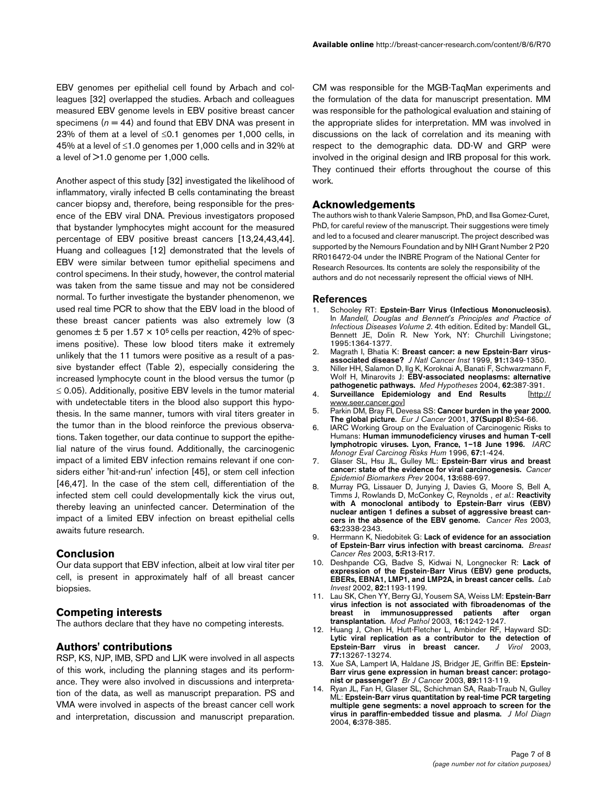EBV genomes per epithelial cell found by Arbach and colleagues [32] overlapped the studies. Arbach and colleagues measured EBV genome levels in EBV positive breast cancer specimens  $(n = 44)$  and found that EBV DNA was present in 23% of them at a level of ≤0.1 genomes per 1,000 cells, in 45% at a level of ≤1.0 genomes per 1,000 cells and in 32% at a level of >1.0 genome per 1,000 cells.

Another aspect of this study [32] investigated the likelihood of inflammatory, virally infected B cells contaminating the breast cancer biopsy and, therefore, being responsible for the presence of the EBV viral DNA. Previous investigators proposed that bystander lymphocytes might account for the measured percentage of EBV positive breast cancers [13,24,43,44]. Huang and colleagues [12] demonstrated that the levels of EBV were similar between tumor epithelial specimens and control specimens. In their study, however, the control material was taken from the same tissue and may not be considered normal. To further investigate the bystander phenomenon, we used real time PCR to show that the EBV load in the blood of these breast cancer patients was also extremely low (3 genomes  $\pm$  5 per 1.57  $\times$  10<sup>5</sup> cells per reaction, 42% of specimens positive). These low blood titers make it extremely unlikely that the 11 tumors were positive as a result of a passive bystander effect (Table [2](#page-5-0)), especially considering the increased lymphocyte count in the blood versus the tumor (p ≤ 0.05). Additionally, positive EBV levels in the tumor material with undetectable titers in the blood also support this hypothesis. In the same manner, tumors with viral titers greater in the tumor than in the blood reinforce the previous observations. Taken together, our data continue to support the epithelial nature of the virus found. Additionally, the carcinogenic impact of a limited EBV infection remains relevant if one considers either 'hit-and-run' infection [45], or stem cell infection [46,47]. In the case of the stem cell, differentiation of the infected stem cell could developmentally kick the virus out, thereby leaving an uninfected cancer. Determination of the impact of a limited EBV infection on breast epithelial cells awaits future research.

#### **Conclusion**

Our data support that EBV infection, albeit at low viral titer per cell, is present in approximately half of all breast cancer biopsies.

## **Competing interests**

The authors declare that they have no competing interests.

#### **Authors' contributions**

RSP, KS, NJP, IMB, SPD and LJK were involved in all aspects of this work, including the planning stages and its performance. They were also involved in discussions and interpretation of the data, as well as manuscript preparation. PS and VMA were involved in aspects of the breast cancer cell work and interpretation, discussion and manuscript preparation.

CM was responsible for the MGB-TaqMan experiments and the formulation of the data for manuscript presentation. MM was responsible for the pathological evaluation and staining of the appropriate slides for interpretation. MM was involved in discussions on the lack of correlation and its meaning with respect to the demographic data. DD-W and GRP were involved in the original design and IRB proposal for this work. They continued their efforts throughout the course of this work.

#### **Acknowledgements**

The authors wish to thank Valerie Sampson, PhD, and Ilsa Gomez-Curet, PhD, for careful review of the manuscript. Their suggestions were timely and led to a focused and clearer manuscript. The project described was supported by the Nemours Foundation and by NIH Grant Number 2 P20 RR016472-04 under the INBRE Program of the National Center for Research Resources. Its contents are solely the responsibility of the authors and do not necessarily represent the official views of NIH.

#### **References**

- 1. Schooley RT: **Epstein-Barr Virus (Infectious Mononucleosis).** In *Mandell, Douglas and Bennett's Principles and Practice of Infectious Diseases Volume 2*. 4th edition. Edited by: Mandell GL, Bennett JE, Dolin R. New York, NY: Churchill Livingstone; 1995:1364-1377.
- 2. Magrath I, Bhatia K: **[Breast cancer: a new Epstein-Barr virus](http://www.ncbi.nlm.nih.gov/entrez/query.fcgi?cmd=Retrieve&db=PubMed&dopt=Abstract&list_uids=10451431)[associated disease?](http://www.ncbi.nlm.nih.gov/entrez/query.fcgi?cmd=Retrieve&db=PubMed&dopt=Abstract&list_uids=10451431)** *J Natl Cancer Inst* 1999, **91:**1349-1350.
- 3. Niller HH, Salamon D, Ilg K, Koroknai A, Banati F, Schwarzmann F, Wolf H, Minarovits J: **[EBV-associated neoplasms: alternative](http://www.ncbi.nlm.nih.gov/entrez/query.fcgi?cmd=Retrieve&db=PubMed&dopt=Abstract&list_uids=14975509) [pathogenetic pathways.](http://www.ncbi.nlm.nih.gov/entrez/query.fcgi?cmd=Retrieve&db=PubMed&dopt=Abstract&list_uids=14975509)** *Med Hypotheses* 2004, **62:**387-391.
- 4. **Surveillance Epidemiology and End Results** [[http://](http://www.seer.cancer.gov) [www.seer.cancer.gov](http://www.seer.cancer.gov)]
- 5. Parkin DM, Bray FI, Devesa SS: **[Cancer burden in the year 2000.](http://www.ncbi.nlm.nih.gov/entrez/query.fcgi?cmd=Retrieve&db=PubMed&dopt=Abstract&list_uids=11602373) [The global picture.](http://www.ncbi.nlm.nih.gov/entrez/query.fcgi?cmd=Retrieve&db=PubMed&dopt=Abstract&list_uids=11602373)** *Eur J Cancer* 2001, **37(Suppl 8):**S4-66.
- 6. IARC Working Group on the Evaluation of Carcinogenic Risks to Humans: **[Human immunodeficiency viruses and human T-cell](http://www.ncbi.nlm.nih.gov/entrez/query.fcgi?cmd=Retrieve&db=PubMed&dopt=Abstract&list_uids=9190379) [lymphotropic viruses. Lyon, France, 1–18 June 1996.](http://www.ncbi.nlm.nih.gov/entrez/query.fcgi?cmd=Retrieve&db=PubMed&dopt=Abstract&list_uids=9190379)** *IARC Monogr Eval Carcinog Risks Hum* 1996, **67:**1-424.
- 7. Glaser SL, Hsu JL, Gulley ML: **[Epstein-Barr virus and breast](http://www.ncbi.nlm.nih.gov/entrez/query.fcgi?cmd=Retrieve&db=PubMed&dopt=Abstract&list_uids=15159298) [cancer: state of the evidence for viral carcinogenesis.](http://www.ncbi.nlm.nih.gov/entrez/query.fcgi?cmd=Retrieve&db=PubMed&dopt=Abstract&list_uids=15159298)** *Cancer Epidemiol Biomarkers Prev* 2004, **13:**688-697.
- 8. Murray PG, Lissauer D, Junying J, Davies G, Moore S, Bell A, Timms J, Rowlands D, McConkey C, Reynolds , *et al.*: **[Reactivity](http://www.ncbi.nlm.nih.gov/entrez/query.fcgi?cmd=Retrieve&db=PubMed&dopt=Abstract&list_uids=12727860) with A monoclonal antibody to Epstein-Barr virus (EBV) [nuclear antigen 1 defines a subset of aggressive breast can](http://www.ncbi.nlm.nih.gov/entrez/query.fcgi?cmd=Retrieve&db=PubMed&dopt=Abstract&list_uids=12727860)[cers in the absence of the EBV genome.](http://www.ncbi.nlm.nih.gov/entrez/query.fcgi?cmd=Retrieve&db=PubMed&dopt=Abstract&list_uids=12727860)** *Cancer Res* 2003, **63:**2338-2343.
- 9. Herrmann K, Niedobitek G: **[Lack of evidence for an association](http://www.ncbi.nlm.nih.gov/entrez/query.fcgi?cmd=Retrieve&db=PubMed&dopt=Abstract&list_uids=12559053) [of Epstein-Barr virus infection with breast carcinoma.](http://www.ncbi.nlm.nih.gov/entrez/query.fcgi?cmd=Retrieve&db=PubMed&dopt=Abstract&list_uids=12559053)** *Breast Cancer Res* 2003, **5:**R13-R17.
- 10. Deshpande CG, Badve S, Kidwai N, Longnecker R: **[Lack of](http://www.ncbi.nlm.nih.gov/entrez/query.fcgi?cmd=Retrieve&db=PubMed&dopt=Abstract&list_uids=12218080) [expression of the Epstein-Barr Virus \(EBV\) gene products,](http://www.ncbi.nlm.nih.gov/entrez/query.fcgi?cmd=Retrieve&db=PubMed&dopt=Abstract&list_uids=12218080) [EBERs, EBNA1, LMP1, and LMP2A, in breast cancer cells.](http://www.ncbi.nlm.nih.gov/entrez/query.fcgi?cmd=Retrieve&db=PubMed&dopt=Abstract&list_uids=12218080)** *Lab Invest* 2002, **82:**1193-1199.
- 11. Lau SK, Chen YY, Berry GJ, Yousem SA, Weiss LM: **[Epstein-Barr](http://www.ncbi.nlm.nih.gov/entrez/query.fcgi?cmd=Retrieve&db=PubMed&dopt=Abstract&list_uids=14681325) virus infection is not associated with fibroadenomas of the breast** in immunosuppressed patients **[transplantation.](http://www.ncbi.nlm.nih.gov/entrez/query.fcgi?cmd=Retrieve&db=PubMed&dopt=Abstract&list_uids=14681325)** *Mod Pathol* 2003, **16:**1242-1247.
- 12. Huang J, Chen H, Hutt-Fletcher L, Ambinder RF, Hayward SD: **[Lytic viral replication as a contributor to the detection of](http://www.ncbi.nlm.nih.gov/entrez/query.fcgi?cmd=Retrieve&db=PubMed&dopt=Abstract&list_uids=14645583) [Epstein-Barr virus in breast cancer.](http://www.ncbi.nlm.nih.gov/entrez/query.fcgi?cmd=Retrieve&db=PubMed&dopt=Abstract&list_uids=14645583)** *J Virol* 2003, **77:**13267-13274.
- 13. Xue SA, Lampert IA, Haldane JS, Bridger JE, Griffin BE: **[Epstein-](http://www.ncbi.nlm.nih.gov/entrez/query.fcgi?cmd=Retrieve&db=PubMed&dopt=Abstract&list_uids=12838311)[Barr virus gene expression in human breast cancer: protago](http://www.ncbi.nlm.nih.gov/entrez/query.fcgi?cmd=Retrieve&db=PubMed&dopt=Abstract&list_uids=12838311)[nist or passenger?](http://www.ncbi.nlm.nih.gov/entrez/query.fcgi?cmd=Retrieve&db=PubMed&dopt=Abstract&list_uids=12838311)** *Br J Cancer* 2003, **89:**113-119.
- 14. Ryan JL, Fan H, Glaser SL, Schichman SA, Raab-Traub N, Gulley ML: **[Epstein-Barr virus quantitation by real-time PCR targeting](http://www.ncbi.nlm.nih.gov/entrez/query.fcgi?cmd=Retrieve&db=PubMed&dopt=Abstract&list_uids=15507678) [multiple gene segments: a novel approach to screen for the](http://www.ncbi.nlm.nih.gov/entrez/query.fcgi?cmd=Retrieve&db=PubMed&dopt=Abstract&list_uids=15507678) [virus in paraffin-embedded tissue and plasma.](http://www.ncbi.nlm.nih.gov/entrez/query.fcgi?cmd=Retrieve&db=PubMed&dopt=Abstract&list_uids=15507678)** *J Mol Diagn* 2004, **6:**378-385.